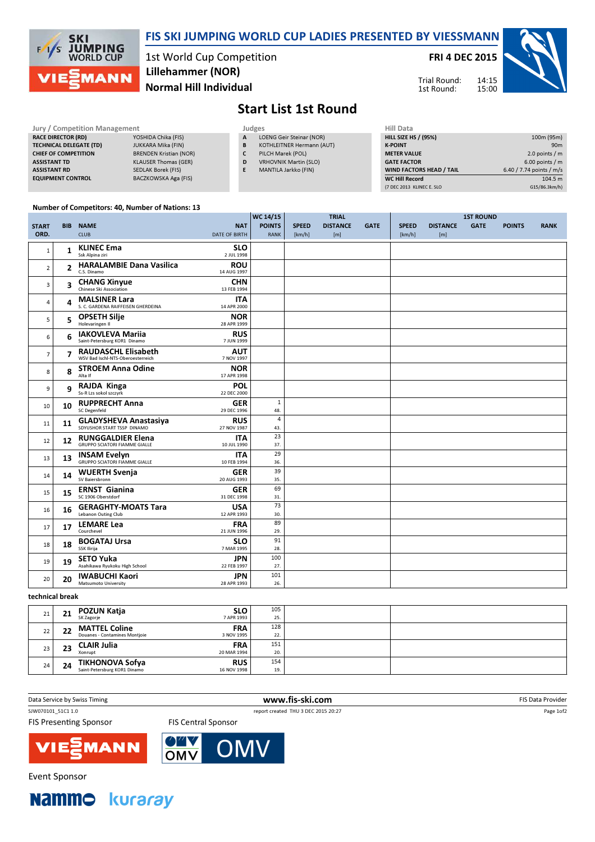

## FIS SKI JUMPING WORLD CUP LADIES PRESENTED BY VIESSMANN

1st World Cup Competition Normal Hill Individual Lillehammer (NOR)

FRI 4 DEC 2015

14:15 15:00 Trial Round: 1st Round:



## Start List 1st Round

| <b>Jury / Competition Management</b> |                               |   | Judges                       | <b>Hill Data</b>   |
|--------------------------------------|-------------------------------|---|------------------------------|--------------------|
| <b>RACE DIRECTOR (RD)</b>            | YOSHIDA Chika (FIS)           | A | LOENG Geir Steinar (NOR)     | <b>HILL SIZE H</b> |
| <b>TECHNICAL DELEGATE (TD)</b>       | <b>JUKKARA Mika (FIN)</b>     | B | KOTHLEITNER Hermann (AUT)    | <b>K-POINT</b>     |
| <b>CHIEF OF COMPETITION</b>          | <b>BRENDEN Kristian (NOR)</b> |   | PILCH Marek (POL)            | <b>METER VAI</b>   |
| <b>ASSISTANT TD</b>                  | <b>KLAUSER Thomas (GER)</b>   | D | <b>VRHOVNIK Martin (SLO)</b> | <b>GATE FACT</b>   |
| <b>ASSISTANT RD</b>                  | SEDLAK Borek (FIS)            |   | MANTILA Jarkko (FIN)         | <b>WIND FACT</b>   |
| <b>EQUIPMENT CONTROL</b>             | BACZKOWSKA Aga (FIS)          |   |                              | WC Hill Re         |

- A LOENG Geir Steinar (NOR) B KOTHLEITNER Hermann (AUT)
- C PILCH Marek (POL)
- D VRHOVNIK Martin (SLO)
- E MANTILA Jarkko (FIN)

| нш рата                         |                          |
|---------------------------------|--------------------------|
| <b>HILL SIZE HS / (95%)</b>     | 100m (95m)               |
| <b>K-POINT</b>                  | 90 <sub>m</sub>          |
| <b>METER VALUE</b>              | 2.0 points $/m$          |
| <b>GATE FACTOR</b>              | $6.00$ points / m        |
| <b>WIND FACTORS HEAD / TAIL</b> | 6.40 / 7.74 points / m/s |
| <b>WC Hill Record</b>           | 104.5 m                  |
| (7 DEC 2013 KLINEC E. SLO       | G15/86.3km/h)            |

## Number of Competitors: 40, Number of Nations: 13

|                |                | ,                                                                |                           | WC 14/15              |              | <b>TRIAL</b>    |             |              |                 | <b>1ST ROUND</b> |               |             |
|----------------|----------------|------------------------------------------------------------------|---------------------------|-----------------------|--------------|-----------------|-------------|--------------|-----------------|------------------|---------------|-------------|
| <b>START</b>   | <b>BIB</b>     | <b>NAME</b>                                                      | <b>NAT</b>                | <b>POINTS</b>         | <b>SPEED</b> | <b>DISTANCE</b> | <b>GATE</b> | <b>SPEED</b> | <b>DISTANCE</b> | <b>GATE</b>      | <b>POINTS</b> | <b>RANK</b> |
| ORD.           |                | <b>CLUB</b>                                                      | <b>DATE OF BIRTH</b>      | <b>RANK</b>           | [km/h]       | [m]             |             | [km/h]       | [m]             |                  |               |             |
| $\mathbf{1}$   | $\mathbf{1}$   | <b>KLINEC Ema</b><br>Ssk Alpina ziri                             | <b>SLO</b><br>2 JUL 1998  |                       |              |                 |             |              |                 |                  |               |             |
|                |                | <b>HARALAMBIE Dana Vasilica</b>                                  | <b>ROU</b>                |                       |              |                 |             |              |                 |                  |               |             |
| $\overline{2}$ | $\overline{2}$ | C.S. Dinamo                                                      | 14 AUG 1997               |                       |              |                 |             |              |                 |                  |               |             |
| 3              | 3              | <b>CHANG Xinyue</b><br>Chinese Ski Association                   | <b>CHN</b><br>13 FEB 1994 |                       |              |                 |             |              |                 |                  |               |             |
| $\overline{4}$ | 4              | <b>MALSINER Lara</b><br>S. C. GARDENA RAIFFEISEN GHERDEINA       | <b>ITA</b><br>14 APR 2000 |                       |              |                 |             |              |                 |                  |               |             |
| 5              | 5              | <b>OPSETH Silje</b><br>Holevaringen II                           | <b>NOR</b><br>28 APR 1999 |                       |              |                 |             |              |                 |                  |               |             |
| 6              | 6              | <b>IAKOVLEVA Mariia</b><br>Saint-Petersburg KOR1 Dinamo          | <b>RUS</b><br>7 JUN 1999  |                       |              |                 |             |              |                 |                  |               |             |
| $\overline{7}$ | 7              | <b>RAUDASCHL Elisabeth</b><br>WSV Bad Ischl-NTS-Oberoesterreich  | <b>AUT</b><br>7 NOV 1997  |                       |              |                 |             |              |                 |                  |               |             |
| 8              | 8              | <b>STROEM Anna Odine</b><br>Alta If                              | <b>NOR</b><br>17 APR 1998 |                       |              |                 |             |              |                 |                  |               |             |
| 9              | q              | <b>RAJDA Kinga</b><br>Ss-R Lzs sokol szczyrk                     | <b>POL</b><br>22 DEC 2000 |                       |              |                 |             |              |                 |                  |               |             |
| 10             | 10             | <b>RUPPRECHT Anna</b><br><b>SC Degenfeld</b>                     | <b>GER</b><br>29 DEC 1996 | 1<br>48.              |              |                 |             |              |                 |                  |               |             |
| 11             | 11             | <b>GLADYSHEVA Anastasiya</b><br>SDYUSHOR START TSSP DINAMO       | <b>RUS</b><br>27 NOV 1987 | $\overline{4}$<br>43. |              |                 |             |              |                 |                  |               |             |
| 12             | 12             | <b>RUNGGALDIER Elena</b><br><b>GRUPPO SCIATORI FIAMME GIALLE</b> | <b>ITA</b><br>10 JUL 1990 | 23<br>37.             |              |                 |             |              |                 |                  |               |             |
| 13             | 13             | <b>INSAM Evelyn</b><br><b>GRUPPO SCIATORI FIAMME GIALLE</b>      | <b>ITA</b><br>10 FEB 1994 | 29<br>36.             |              |                 |             |              |                 |                  |               |             |
| 14             | 14             | <b>WUERTH Svenja</b><br>SV Baiersbronn                           | <b>GER</b><br>20 AUG 1993 | 39<br>35.             |              |                 |             |              |                 |                  |               |             |
| 15             | 15             | <b>ERNST Gianina</b><br>SC 1906 Oberstdorf                       | <b>GER</b><br>31 DEC 1998 | 69<br>31.             |              |                 |             |              |                 |                  |               |             |
| 16             | 16             | <b>GERAGHTY-MOATS Tara</b><br>Lebanon Outing Club                | <b>USA</b><br>12 APR 1993 | 73<br>30.             |              |                 |             |              |                 |                  |               |             |
| 17             | 17             | <b>LEMARE Lea</b><br>Courchevel                                  | <b>FRA</b><br>21 JUN 1996 | 89<br>29.             |              |                 |             |              |                 |                  |               |             |
| 18             | 18             | <b>BOGATAJ Ursa</b><br><b>SSK Ilirija</b>                        | <b>SLO</b><br>7 MAR 1995  | 91<br>28.             |              |                 |             |              |                 |                  |               |             |
| 19             | 19             | <b>SETO Yuka</b><br>Asahikawa Ryukoku High School                | <b>JPN</b><br>22 FEB 1997 | 100<br>27.            |              |                 |             |              |                 |                  |               |             |
| 20             | 20             | <b>IWABUCHI Kaori</b><br><b>Matsumoto University</b>             | <b>JPN</b><br>28 APR 1993 | 101<br>26.            |              |                 |             |              |                 |                  |               |             |

## technical break

| 21 | 21 | POZUN Katja<br>SK Zagorje                              | <b>SLO</b><br>7 APR 1993  | 105<br>25. |  |
|----|----|--------------------------------------------------------|---------------------------|------------|--|
| 22 | 22 | <b>MATTEL Coline</b><br>Douanes - Contamines Montjoie  | <b>FRA</b><br>3 NOV 1995  | 128<br>22. |  |
| 23 | 23 | <b>CLAIR Julia</b><br>Xonrupt                          | <b>FRA</b><br>20 MAR 1994 | 151<br>20. |  |
| 24 | 24 | <b>TIKHONOVA Sofya</b><br>Saint-Petersburg KOR1 Dinamo | <b>RUS</b><br>16 NOV 1998 | 154<br>19. |  |

| FIS Presenting Sponsor |  |
|------------------------|--|

Data Service by Swiss Timing **EXECUTE CONCOMPTED WWW.fis-ski.com** FIS Data Provider

Page 1of2

SJW070101\_51C1 1.0 report created THU 3 DEC 2015 20:27

ing Sponsor







**Event Sponsor**